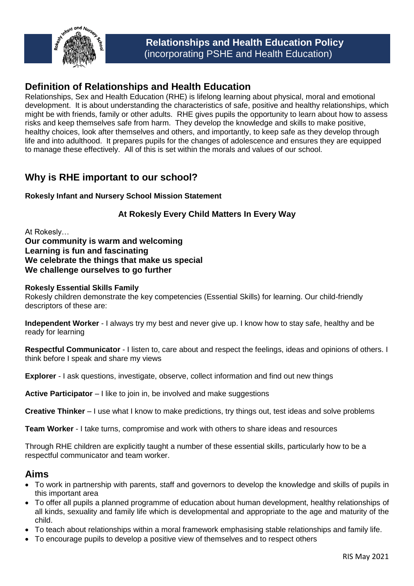

## **Definition of Relationships and Health Education**

Relationships, Sex and Health Education (RHE) is lifelong learning about physical, moral and emotional development. It is about understanding the characteristics of safe, positive and healthy relationships, which might be with friends, family or other adults. RHE gives pupils the opportunity to learn about how to assess risks and keep themselves safe from harm. They develop the knowledge and skills to make positive, healthy choices, look after themselves and others, and importantly, to keep safe as they develop through life and into adulthood. It prepares pupils for the changes of adolescence and ensures they are equipped to manage these effectively. All of this is set within the morals and values of our school.

# **Why is RHE important to our school?**

### **Rokesly Infant and Nursery School Mission Statement**

### **At Rokesly Every Child Matters In Every Way**

At Rokesly…

**Our community is warm and welcoming Learning is fun and fascinating We celebrate the things that make us special We challenge ourselves to go further**

#### **Rokesly Essential Skills Family**

Rokesly children demonstrate the key competencies (Essential Skills) for learning. Our child-friendly descriptors of these are:

**Independent Worker** - I always try my best and never give up. I know how to stay safe, healthy and be ready for learning

**Respectful Communicator** - I listen to, care about and respect the feelings, ideas and opinions of others. I think before I speak and share my views

**Explorer** - I ask questions, investigate, observe, collect information and find out new things

**Active Participator** – I like to join in, be involved and make suggestions

**Creative Thinker** – I use what I know to make predictions, try things out, test ideas and solve problems

**Team Worker** - I take turns, compromise and work with others to share ideas and resources

Through RHE children are explicitly taught a number of these essential skills, particularly how to be a respectful communicator and team worker.

## **Aims**

- To work in partnership with parents, staff and governors to develop the knowledge and skills of pupils in this important area
- To offer all pupils a planned programme of education about human development, healthy relationships of all kinds, sexuality and family life which is developmental and appropriate to the age and maturity of the child.
- To teach about relationships within a moral framework emphasising stable relationships and family life.
- To encourage pupils to develop a positive view of themselves and to respect others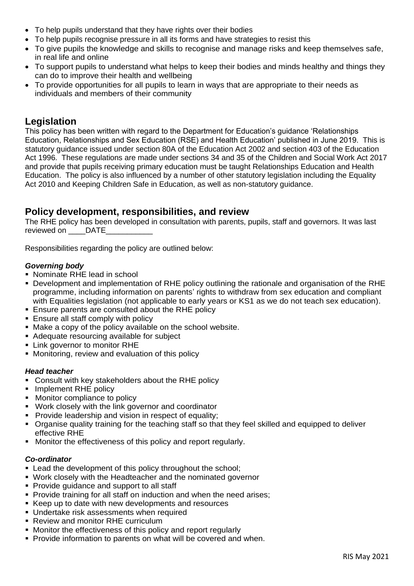- To help pupils understand that they have rights over their bodies
- To help pupils recognise pressure in all its forms and have strategies to resist this
- To give pupils the knowledge and skills to recognise and manage risks and keep themselves safe, in real life and online
- To support pupils to understand what helps to keep their bodies and minds healthy and things they can do to improve their health and wellbeing
- To provide opportunities for all pupils to learn in ways that are appropriate to their needs as individuals and members of their community

## **Legislation**

This policy has been written with regard to the Department for Education's guidance 'Relationships Education, Relationships and Sex Education (RSE) and Health Education' published in June 2019. This is statutory guidance issued under section 80A of the Education Act 2002 and section 403 of the Education Act 1996. These regulations are made under sections 34 and 35 of the Children and Social Work Act 2017 and provide that pupils receiving primary education must be taught Relationships Education and Health Education. The policy is also influenced by a number of other statutory legislation including the Equality Act 2010 and Keeping Children Safe in Education, as well as non-statutory guidance.

## **Policy development, responsibilities, and review**

The RHE policy has been developed in consultation with parents, pupils, staff and governors. It was last reviewed on \_\_\_\_\_DATE\_

Responsibilities regarding the policy are outlined below:

### *Governing body*

- Nominate RHE lead in school
- Development and implementation of RHE policy outlining the rationale and organisation of the RHE programme, including information on parents' rights to withdraw from sex education and compliant with Equalities legislation (not applicable to early years or KS1 as we do not teach sex education).
- **Ensure parents are consulted about the RHE policy**
- **Ensure all staff comply with policy**
- Make a copy of the policy available on the school website.
- Adequate resourcing available for subject
- **EXECUTE:** Link governor to monitor RHE
- **Monitoring, review and evaluation of this policy**

#### *Head teacher*

- Consult with key stakeholders about the RHE policy
- Implement RHE policy
- **Monitor compliance to policy**
- Work closely with the link governor and coordinator
- **Provide leadership and vision in respect of equality;**
- Organise quality training for the teaching staff so that they feel skilled and equipped to deliver effective RHE
- **Monitor the effectiveness of this policy and report regularly.**

### *Co-ordinator*

- **Example 1** Lead the development of this policy throughout the school;
- Work closely with the Headteacher and the nominated governor
- Provide guidance and support to all staff
- **Provide training for all staff on induction and when the need arises;**
- Keep up to date with new developments and resources
- Undertake risk assessments when required
- Review and monitor RHE curriculum
- Monitor the effectiveness of this policy and report regularly
- **Provide information to parents on what will be covered and when.**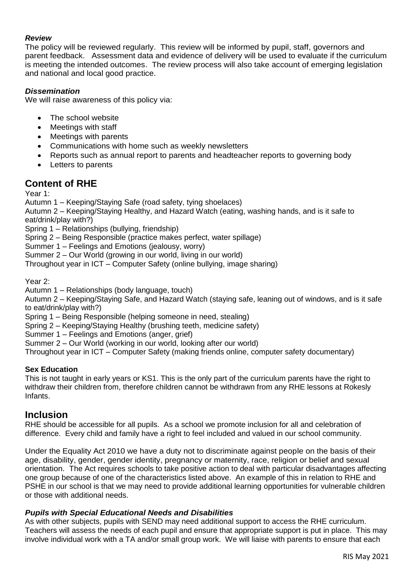### *Review*

The policy will be reviewed regularly. This review will be informed by pupil, staff, governors and parent feedback. Assessment data and evidence of delivery will be used to evaluate if the curriculum is meeting the intended outcomes. The review process will also take account of emerging legislation and national and local good practice.

### *Dissemination*

We will raise awareness of this policy via:

- The school website
- Meetings with staff
- Meetings with parents
- Communications with home such as weekly newsletters
- Reports such as annual report to parents and headteacher reports to governing body
- Letters to parents

## **Content of RHE**

Year 1:

Autumn 1 – Keeping/Staying Safe (road safety, tying shoelaces)

Autumn 2 – Keeping/Staying Healthy, and Hazard Watch (eating, washing hands, and is it safe to eat/drink/play with?)

Spring 1 – Relationships (bullying, friendship)

Spring 2 – Being Responsible (practice makes perfect, water spillage)

Summer 1 – Feelings and Emotions (jealousy, worry)

Summer 2 – Our World (growing in our world, living in our world)

Throughout year in ICT – Computer Safety (online bullying, image sharing)

Year 2:

Autumn 1 – Relationships (body language, touch)

Autumn 2 – Keeping/Staying Safe, and Hazard Watch (staying safe, leaning out of windows, and is it safe to eat/drink/play with?)

Spring 1 – Being Responsible (helping someone in need, stealing)

Spring 2 – Keeping/Staying Healthy (brushing teeth, medicine safety)

Summer 1 – Feelings and Emotions (anger, grief)

Summer 2 – Our World (working in our world, looking after our world)

Throughout year in ICT – Computer Safety (making friends online, computer safety documentary)

#### **Sex Education**

This is not taught in early years or KS1. This is the only part of the curriculum parents have the right to withdraw their children from, therefore children cannot be withdrawn from any RHE lessons at Rokesly Infants.

## **Inclusion**

RHE should be accessible for all pupils. As a school we promote inclusion for all and celebration of difference. Every child and family have a right to feel included and valued in our school community.

Under the Equality Act 2010 we have a duty not to discriminate against people on the basis of their age, disability, gender, gender identity, pregnancy or maternity, race, religion or belief and sexual orientation. The Act requires schools to take positive action to deal with particular disadvantages affecting one group because of one of the characteristics listed above. An example of this in relation to RHE and PSHE in our school is that we may need to provide additional learning opportunities for vulnerable children or those with additional needs.

#### *Pupils with Special Educational Needs and Disabilities*

As with other subjects, pupils with SEND may need additional support to access the RHE curriculum. Teachers will assess the needs of each pupil and ensure that appropriate support is put in place. This may involve individual work with a TA and/or small group work. We will liaise with parents to ensure that each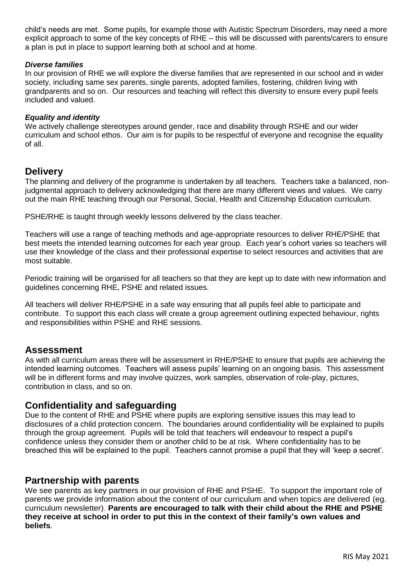child's needs are met. Some pupils, for example those with Autistic Spectrum Disorders, may need a more explicit approach to some of the key concepts of RHE – this will be discussed with parents/carers to ensure a plan is put in place to support learning both at school and at home.

#### *Diverse families*

In our provision of RHE we will explore the diverse families that are represented in our school and in wider society, including same sex parents, single parents, adopted families, fostering, children living with grandparents and so on. Our resources and teaching will reflect this diversity to ensure every pupil feels included and valued.

#### *Equality and identity*

We actively challenge stereotypes around gender, race and disability through RSHE and our wider curriculum and school ethos. Our aim is for pupils to be respectful of everyone and recognise the equality of all.

### **Delivery**

The planning and delivery of the programme is undertaken by all teachers. Teachers take a balanced, nonjudgmental approach to delivery acknowledging that there are many different views and values. We carry out the main RHE teaching through our Personal, Social, Health and Citizenship Education curriculum.

PSHE/RHE is taught through weekly lessons delivered by the class teacher.

Teachers will use a range of teaching methods and age-appropriate resources to deliver RHE/PSHE that best meets the intended learning outcomes for each year group. Each year's cohort varies so teachers will use their knowledge of the class and their professional expertise to select resources and activities that are most suitable.

Periodic training will be organised for all teachers so that they are kept up to date with new information and guidelines concerning RHE, PSHE and related issues.

All teachers will deliver RHE/PSHE in a safe way ensuring that all pupils feel able to participate and contribute. To support this each class will create a group agreement outlining expected behaviour, rights and responsibilities within PSHE and RHE sessions.

### **Assessment**

As with all curriculum areas there will be assessment in RHE/PSHE to ensure that pupils are achieving the intended learning outcomes. Teachers will assess pupils' learning on an ongoing basis. This assessment will be in different forms and may involve quizzes, work samples, observation of role-play, pictures, contribution in class, and so on.

## **Confidentiality and safeguarding**

Due to the content of RHE and PSHE where pupils are exploring sensitive issues this may lead to disclosures of a child protection concern. The boundaries around confidentiality will be explained to pupils through the group agreement. Pupils will be told that teachers will endeavour to respect a pupil's confidence unless they consider them or another child to be at risk. Where confidentiality has to be breached this will be explained to the pupil. Teachers cannot promise a pupil that they will 'keep a secret'.

### **Partnership with parents**

We see parents as key partners in our provision of RHE and PSHE. To support the important role of parents we provide information about the content of our curriculum and when topics are delivered (eg. curriculum newsletter). **Parents are encouraged to talk with their child about the RHE and PSHE they receive at school in order to put this in the context of their family's own values and beliefs**.